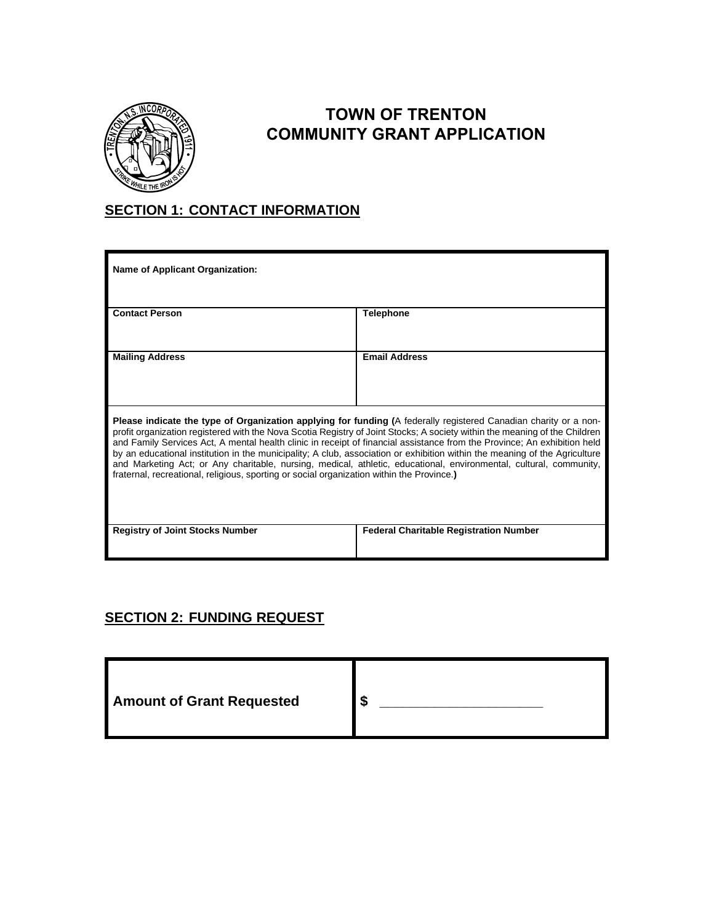

## **TOWN OF TRENTON COMMUNITY GRANT APPLICATION**

## **SECTION 1: CONTACT INFORMATION**

| <b>Name of Applicant Organization:</b>                                                                                                                                                                                                                                                                                                                                                                                                                                                                                                                                                                                                                                                                                      |                                               |  |
|-----------------------------------------------------------------------------------------------------------------------------------------------------------------------------------------------------------------------------------------------------------------------------------------------------------------------------------------------------------------------------------------------------------------------------------------------------------------------------------------------------------------------------------------------------------------------------------------------------------------------------------------------------------------------------------------------------------------------------|-----------------------------------------------|--|
| <b>Contact Person</b>                                                                                                                                                                                                                                                                                                                                                                                                                                                                                                                                                                                                                                                                                                       | <b>Telephone</b>                              |  |
| <b>Mailing Address</b>                                                                                                                                                                                                                                                                                                                                                                                                                                                                                                                                                                                                                                                                                                      | <b>Email Address</b>                          |  |
| Please indicate the type of Organization applying for funding (A federally registered Canadian charity or a non-<br>profit organization registered with the Nova Scotia Registry of Joint Stocks; A society within the meaning of the Children<br>and Family Services Act, A mental health clinic in receipt of financial assistance from the Province; An exhibition held<br>by an educational institution in the municipality; A club, association or exhibition within the meaning of the Agriculture<br>and Marketing Act; or Any charitable, nursing, medical, athletic, educational, environmental, cultural, community,<br>fraternal, recreational, religious, sporting or social organization within the Province.) |                                               |  |
| <b>Registry of Joint Stocks Number</b>                                                                                                                                                                                                                                                                                                                                                                                                                                                                                                                                                                                                                                                                                      | <b>Federal Charitable Registration Number</b> |  |

## **SECTION 2: FUNDING REQUEST**

| <b>Amount of Grant Requested</b><br>æ<br>ъĐ |  |  |
|---------------------------------------------|--|--|
|---------------------------------------------|--|--|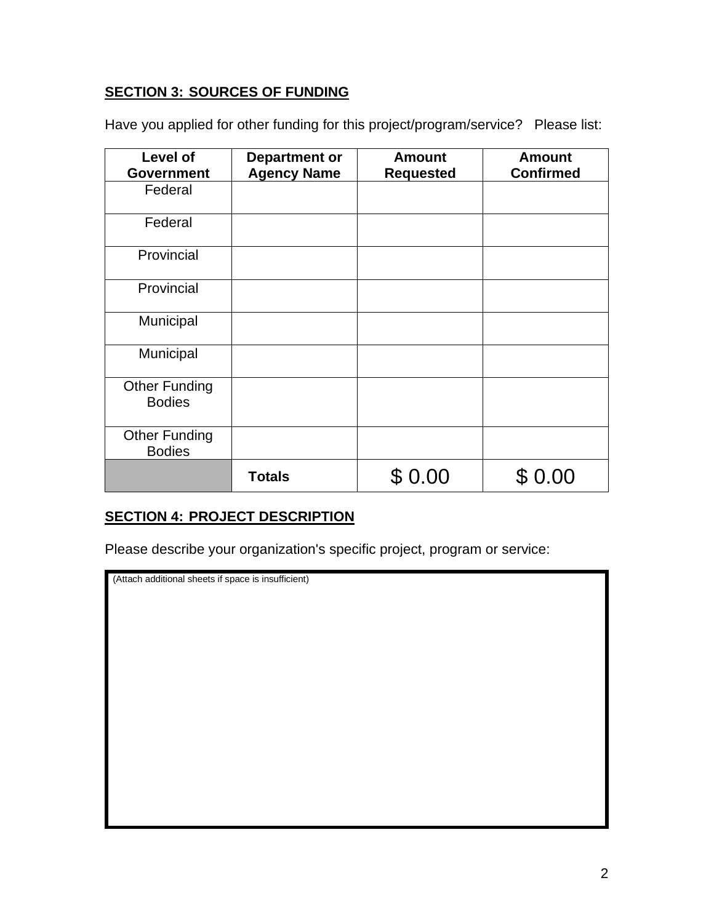#### **SECTION 3: SOURCES OF FUNDING**

Have you applied for other funding for this project/program/service? Please list:

| Level of<br><b>Government</b>         | <b>Department or</b><br><b>Agency Name</b> | <b>Amount</b><br><b>Requested</b> | <b>Amount</b><br><b>Confirmed</b> |
|---------------------------------------|--------------------------------------------|-----------------------------------|-----------------------------------|
| Federal                               |                                            |                                   |                                   |
| Federal                               |                                            |                                   |                                   |
| Provincial                            |                                            |                                   |                                   |
| Provincial                            |                                            |                                   |                                   |
| Municipal                             |                                            |                                   |                                   |
| Municipal                             |                                            |                                   |                                   |
| <b>Other Funding</b><br><b>Bodies</b> |                                            |                                   |                                   |
| <b>Other Funding</b><br><b>Bodies</b> |                                            |                                   |                                   |
|                                       | <b>Totals</b>                              | 0.00                              |                                   |

#### **SECTION 4: PROJECT DESCRIPTION**

Please describe your organization's specific project, program or service:

(Attach additional sheets if space is insufficient)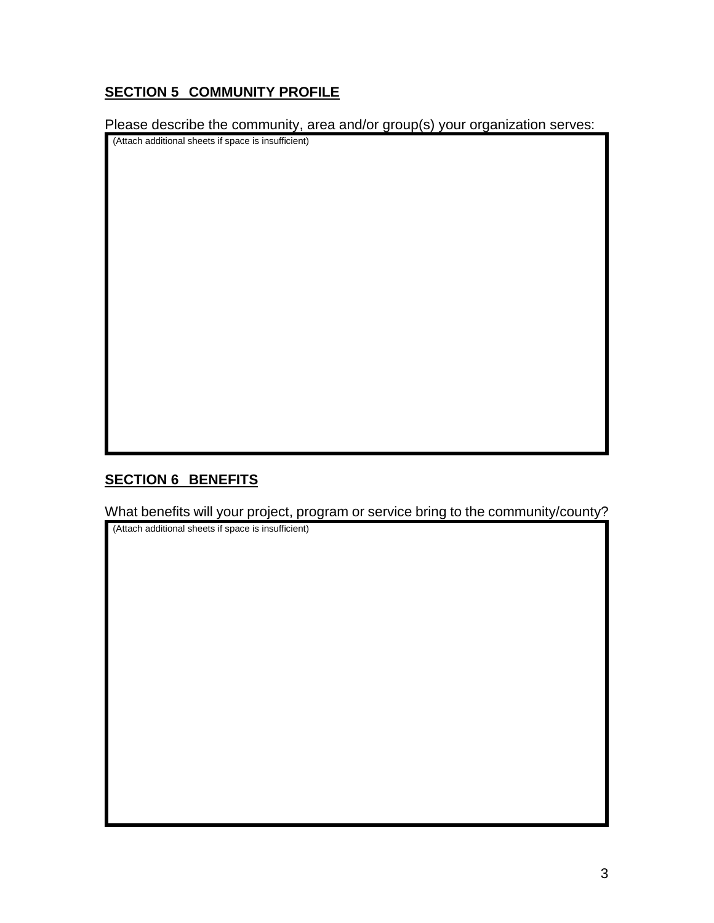## **SECTION 5 COMMUNITY PROFILE**

Please describe the community, area and/or group(s) your organization serves:

(Attach additional sheets if space is insufficient)

## **SECTION 6 BENEFITS**

What benefits will your project, program or service bring to the community/county?

(Attach additional sheets if space is insufficient)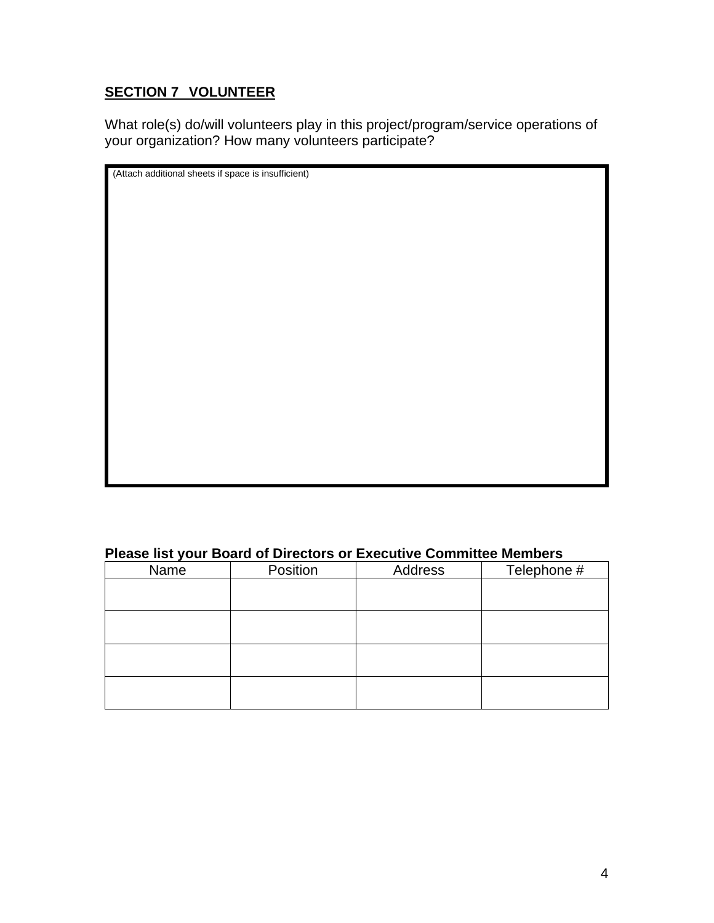## **SECTION 7 VOLUNTEER**

What role(s) do/will volunteers play in this project/program/service operations of your organization? How many volunteers participate?

| (Attach additional sheets if space is insufficient) |  |  |
|-----------------------------------------------------|--|--|
|                                                     |  |  |
|                                                     |  |  |
|                                                     |  |  |
|                                                     |  |  |
|                                                     |  |  |
|                                                     |  |  |
|                                                     |  |  |
|                                                     |  |  |
|                                                     |  |  |
|                                                     |  |  |
|                                                     |  |  |
|                                                     |  |  |
|                                                     |  |  |
|                                                     |  |  |
|                                                     |  |  |
|                                                     |  |  |
|                                                     |  |  |
|                                                     |  |  |
|                                                     |  |  |
|                                                     |  |  |
|                                                     |  |  |
|                                                     |  |  |
|                                                     |  |  |
|                                                     |  |  |
|                                                     |  |  |
|                                                     |  |  |
|                                                     |  |  |
|                                                     |  |  |
|                                                     |  |  |
|                                                     |  |  |
|                                                     |  |  |
|                                                     |  |  |
|                                                     |  |  |
|                                                     |  |  |
|                                                     |  |  |
|                                                     |  |  |
|                                                     |  |  |
|                                                     |  |  |
|                                                     |  |  |
|                                                     |  |  |
|                                                     |  |  |
|                                                     |  |  |
|                                                     |  |  |
|                                                     |  |  |

#### **Please list your Board of Directors or Executive Committee Members**

| Name | Position | Address | Telephone # |
|------|----------|---------|-------------|
|      |          |         |             |
|      |          |         |             |
|      |          |         |             |
|      |          |         |             |
|      |          |         |             |
|      |          |         |             |
|      |          |         |             |
|      |          |         |             |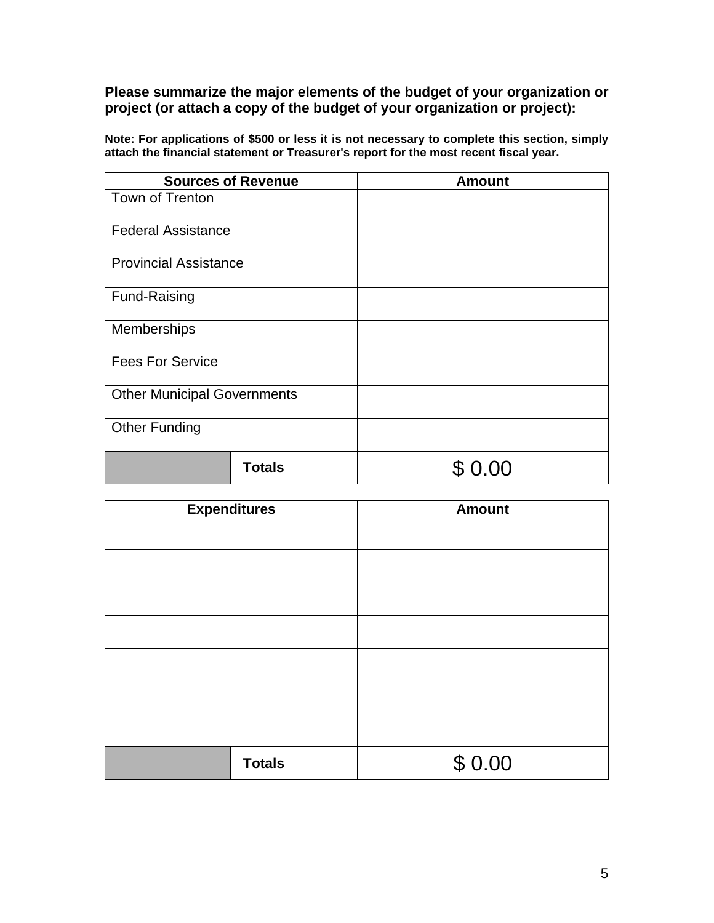**Please summarize the major elements of the budget of your organization or project (or attach a copy of the budget of your organization or project):**

| <b>Sources of Revenue</b>          | <b>Amount</b> |
|------------------------------------|---------------|
| Town of Trenton                    |               |
| <b>Federal Assistance</b>          |               |
| <b>Provincial Assistance</b>       |               |
| Fund-Raising                       |               |
| Memberships                        |               |
| <b>Fees For Service</b>            |               |
| <b>Other Municipal Governments</b> |               |
| <b>Other Funding</b>               |               |
| <b>Totals</b>                      | ΩÜ            |

**Note: For applications of \$500 or less it is not necessary to complete this section, simply attach the financial statement or Treasurer's report for the most recent fiscal year.**

| <b>Expenditures</b> | <b>Amount</b> |
|---------------------|---------------|
|                     |               |
|                     |               |
|                     |               |
|                     |               |
|                     |               |
|                     |               |
|                     |               |
|                     |               |
|                     |               |
| <b>Totals</b>       | \$0.00        |